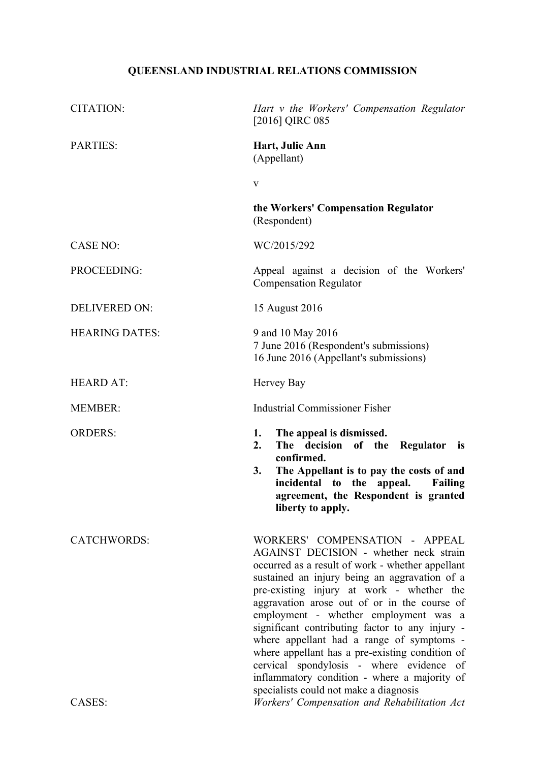# **QUEENSLAND INDUSTRIAL RELATIONS COMMISSION**

| <b>CITATION:</b>             | Hart v the Workers' Compensation Regulator<br>[2016] QIRC 085                                                                                                                                                                                                                                                                                                                                                                                                                                                                                                                                                                                                   |
|------------------------------|-----------------------------------------------------------------------------------------------------------------------------------------------------------------------------------------------------------------------------------------------------------------------------------------------------------------------------------------------------------------------------------------------------------------------------------------------------------------------------------------------------------------------------------------------------------------------------------------------------------------------------------------------------------------|
| <b>PARTIES:</b>              | Hart, Julie Ann<br>(Appellant)                                                                                                                                                                                                                                                                                                                                                                                                                                                                                                                                                                                                                                  |
|                              | $\mathbf{V}$                                                                                                                                                                                                                                                                                                                                                                                                                                                                                                                                                                                                                                                    |
|                              | the Workers' Compensation Regulator<br>(Respondent)                                                                                                                                                                                                                                                                                                                                                                                                                                                                                                                                                                                                             |
| <b>CASE NO:</b>              | WC/2015/292                                                                                                                                                                                                                                                                                                                                                                                                                                                                                                                                                                                                                                                     |
| PROCEEDING:                  | Appeal against a decision of the Workers'<br><b>Compensation Regulator</b>                                                                                                                                                                                                                                                                                                                                                                                                                                                                                                                                                                                      |
| <b>DELIVERED ON:</b>         | 15 August 2016                                                                                                                                                                                                                                                                                                                                                                                                                                                                                                                                                                                                                                                  |
| <b>HEARING DATES:</b>        | 9 and 10 May 2016<br>7 June 2016 (Respondent's submissions)<br>16 June 2016 (Appellant's submissions)                                                                                                                                                                                                                                                                                                                                                                                                                                                                                                                                                           |
| <b>HEARD AT:</b>             | Hervey Bay                                                                                                                                                                                                                                                                                                                                                                                                                                                                                                                                                                                                                                                      |
| <b>MEMBER:</b>               | <b>Industrial Commissioner Fisher</b>                                                                                                                                                                                                                                                                                                                                                                                                                                                                                                                                                                                                                           |
| <b>ORDERS:</b>               | The appeal is dismissed.<br>1.<br>2.<br>The decision of the Regulator<br>is<br>confirmed.<br>The Appellant is to pay the costs of and<br>3.<br>incidental to the appeal.<br><b>Failing</b><br>agreement, the Respondent is granted<br>liberty to apply.                                                                                                                                                                                                                                                                                                                                                                                                         |
| <b>CATCHWORDS:</b><br>CASES: | WORKERS' COMPENSATION - APPEAL<br>AGAINST DECISION - whether neck strain<br>occurred as a result of work - whether appellant<br>sustained an injury being an aggravation of a<br>pre-existing injury at work - whether the<br>aggravation arose out of or in the course of<br>employment - whether employment was a<br>significant contributing factor to any injury -<br>where appellant had a range of symptoms -<br>where appellant has a pre-existing condition of<br>cervical spondylosis - where evidence<br>of<br>inflammatory condition - where a majority of<br>specialists could not make a diagnosis<br>Workers' Compensation and Rehabilitation Act |
|                              |                                                                                                                                                                                                                                                                                                                                                                                                                                                                                                                                                                                                                                                                 |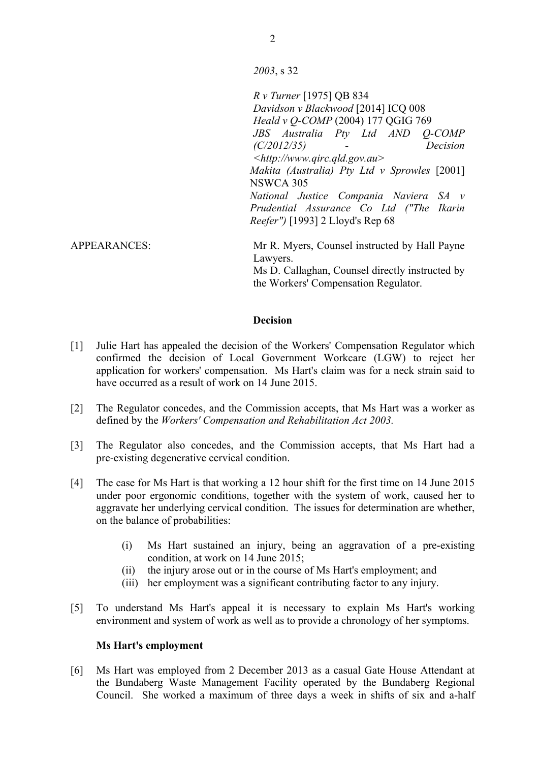*2003*, s 32

*R v Turner* [1975] QB 834 *Davidson v Blackwood* [2014] ICQ 008 *Heald v Q-COMP* (2004) 177 QGIG 769 *JBS Australia Pty Ltd AND Q-COMP (C/2012/35) - Decision <http://www.qirc.qld.gov.au> Makita (Australia) Pty Ltd v Sprowles* [2001] NSWCA 305 *National Justice Compania Naviera SA v Prudential Assurance Co Ltd ("The Ikarin Reefer")* [1993] 2 Lloyd's Rep 68

APPEARANCES: Mr R. Myers, Counsel instructed by Hall Payne Lawyers. Ms D. Callaghan, Counsel directly instructed by the Workers' Compensation Regulator.

#### **Decision**

- [1] Julie Hart has appealed the decision of the Workers' Compensation Regulator which confirmed the decision of Local Government Workcare (LGW) to reject her application for workers' compensation. Ms Hart's claim was for a neck strain said to have occurred as a result of work on 14 June 2015.
- [2] The Regulator concedes, and the Commission accepts, that Ms Hart was a worker as defined by the *Workers' Compensation and Rehabilitation Act 2003.*
- [3] The Regulator also concedes, and the Commission accepts, that Ms Hart had a pre-existing degenerative cervical condition.
- [4] The case for Ms Hart is that working a 12 hour shift for the first time on 14 June 2015 under poor ergonomic conditions, together with the system of work, caused her to aggravate her underlying cervical condition. The issues for determination are whether, on the balance of probabilities:
	- (i) Ms Hart sustained an injury, being an aggravation of a pre-existing condition, at work on 14 June 2015;
	- (ii) the injury arose out or in the course of Ms Hart's employment; and
	- (iii) her employment was a significant contributing factor to any injury.
- [5] To understand Ms Hart's appeal it is necessary to explain Ms Hart's working environment and system of work as well as to provide a chronology of her symptoms.

## **Ms Hart's employment**

[6] Ms Hart was employed from 2 December 2013 as a casual Gate House Attendant at the Bundaberg Waste Management Facility operated by the Bundaberg Regional Council. She worked a maximum of three days a week in shifts of six and a-half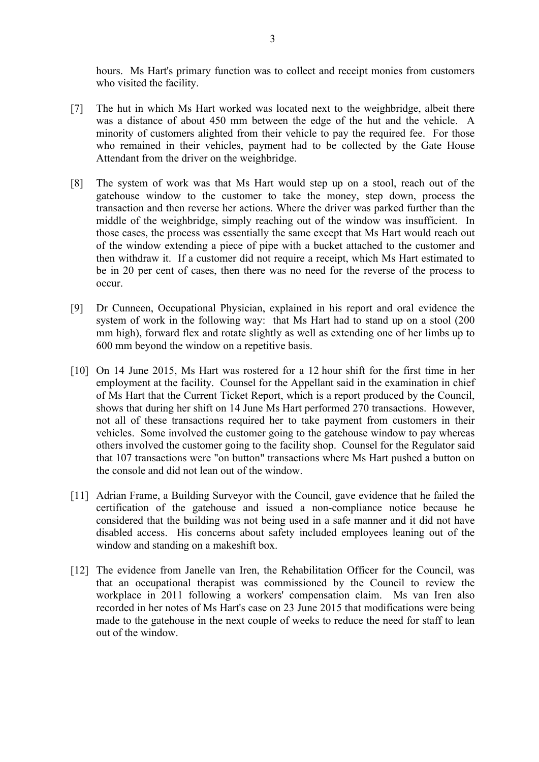hours. Ms Hart's primary function was to collect and receipt monies from customers who visited the facility.

- [7] The hut in which Ms Hart worked was located next to the weighbridge, albeit there was a distance of about 450 mm between the edge of the hut and the vehicle. A minority of customers alighted from their vehicle to pay the required fee. For those who remained in their vehicles, payment had to be collected by the Gate House Attendant from the driver on the weighbridge.
- [8] The system of work was that Ms Hart would step up on a stool, reach out of the gatehouse window to the customer to take the money, step down, process the transaction and then reverse her actions. Where the driver was parked further than the middle of the weighbridge, simply reaching out of the window was insufficient. In those cases, the process was essentially the same except that Ms Hart would reach out of the window extending a piece of pipe with a bucket attached to the customer and then withdraw it. If a customer did not require a receipt, which Ms Hart estimated to be in 20 per cent of cases, then there was no need for the reverse of the process to occur.
- [9] Dr Cunneen, Occupational Physician, explained in his report and oral evidence the system of work in the following way: that Ms Hart had to stand up on a stool (200 mm high), forward flex and rotate slightly as well as extending one of her limbs up to 600 mm beyond the window on a repetitive basis.
- [10] On 14 June 2015, Ms Hart was rostered for a 12 hour shift for the first time in her employment at the facility. Counsel for the Appellant said in the examination in chief of Ms Hart that the Current Ticket Report, which is a report produced by the Council, shows that during her shift on 14 June Ms Hart performed 270 transactions. However, not all of these transactions required her to take payment from customers in their vehicles. Some involved the customer going to the gatehouse window to pay whereas others involved the customer going to the facility shop. Counsel for the Regulator said that 107 transactions were "on button" transactions where Ms Hart pushed a button on the console and did not lean out of the window.
- [11] Adrian Frame, a Building Surveyor with the Council, gave evidence that he failed the certification of the gatehouse and issued a non-compliance notice because he considered that the building was not being used in a safe manner and it did not have disabled access. His concerns about safety included employees leaning out of the window and standing on a makeshift box.
- [12] The evidence from Janelle van Iren, the Rehabilitation Officer for the Council, was that an occupational therapist was commissioned by the Council to review the workplace in 2011 following a workers' compensation claim. Ms van Iren also recorded in her notes of Ms Hart's case on 23 June 2015 that modifications were being made to the gatehouse in the next couple of weeks to reduce the need for staff to lean out of the window.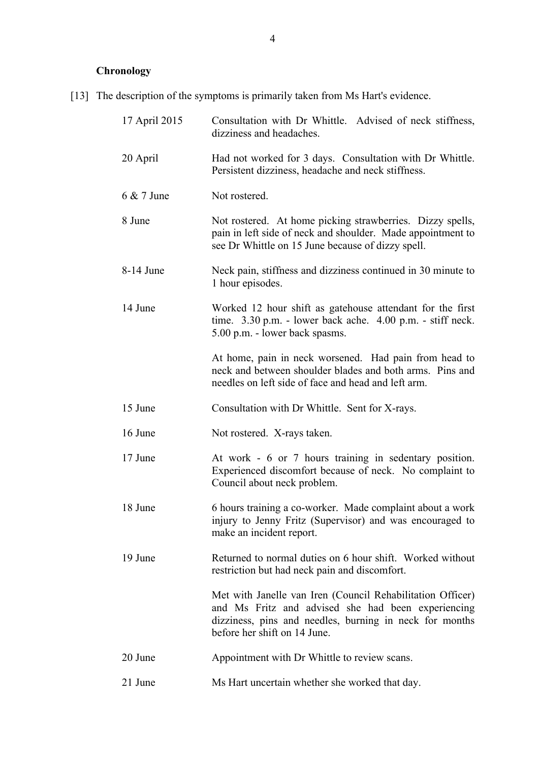# **Chronology**

[13] The description of the symptoms is primarily taken from Ms Hart's evidence.

| 17 April 2015 | Consultation with Dr Whittle. Advised of neck stiffness,<br>dizziness and headaches.                                                                                                                        |
|---------------|-------------------------------------------------------------------------------------------------------------------------------------------------------------------------------------------------------------|
| 20 April      | Had not worked for 3 days. Consultation with Dr Whittle.<br>Persistent dizziness, headache and neck stiffness.                                                                                              |
| 6 & 7 June    | Not rostered.                                                                                                                                                                                               |
| 8 June        | Not rostered. At home picking strawberries. Dizzy spells,<br>pain in left side of neck and shoulder. Made appointment to<br>see Dr Whittle on 15 June because of dizzy spell.                               |
| 8-14 June     | Neck pain, stiffness and dizziness continued in 30 minute to<br>1 hour episodes.                                                                                                                            |
| 14 June       | Worked 12 hour shift as gatehouse attendant for the first<br>time. $3.30$ p.m. - lower back ache. $4.00$ p.m. - stiff neck.<br>5.00 p.m. - lower back spasms.                                               |
|               | At home, pain in neck worsened. Had pain from head to<br>neck and between shoulder blades and both arms. Pins and<br>needles on left side of face and head and left arm.                                    |
| 15 June       | Consultation with Dr Whittle. Sent for X-rays.                                                                                                                                                              |
| 16 June       | Not rostered. X-rays taken.                                                                                                                                                                                 |
| 17 June       | At work - 6 or 7 hours training in sedentary position.<br>Experienced discomfort because of neck. No complaint to<br>Council about neck problem.                                                            |
| 18 June       | 6 hours training a co-worker. Made complaint about a work<br>injury to Jenny Fritz (Supervisor) and was encouraged to<br>make an incident report.                                                           |
| 19 June       | Returned to normal duties on 6 hour shift. Worked without<br>restriction but had neck pain and discomfort.                                                                                                  |
|               | Met with Janelle van Iren (Council Rehabilitation Officer)<br>and Ms Fritz and advised she had been experiencing<br>dizziness, pins and needles, burning in neck for months<br>before her shift on 14 June. |
| 20 June       | Appointment with Dr Whittle to review scans.                                                                                                                                                                |
| 21 June       | Ms Hart uncertain whether she worked that day.                                                                                                                                                              |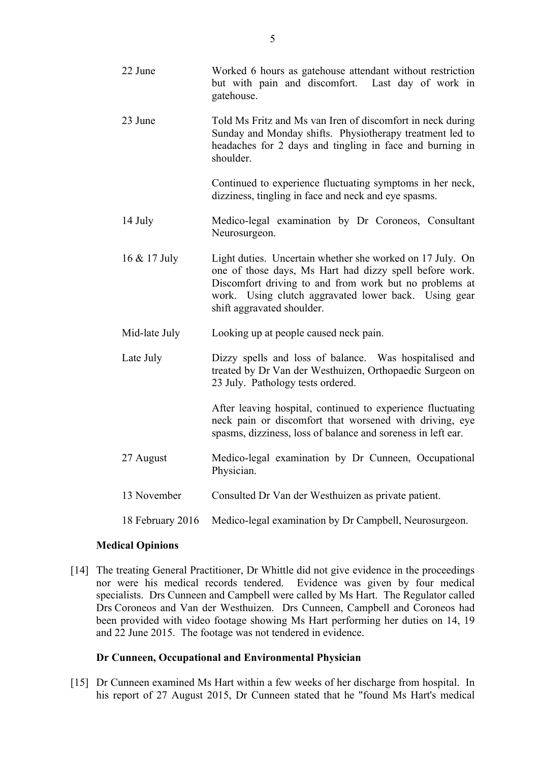| 22 June          | Worked 6 hours as gatehouse attendant without restriction<br>but with pain and discomfort. Last day of work in<br>gatehouse.                                                                                                                                         |
|------------------|----------------------------------------------------------------------------------------------------------------------------------------------------------------------------------------------------------------------------------------------------------------------|
| 23 June          | Told Ms Fritz and Ms van Iren of discomfort in neck during<br>Sunday and Monday shifts. Physiotherapy treatment led to<br>headaches for 2 days and tingling in face and burning in<br>shoulder.                                                                      |
|                  | Continued to experience fluctuating symptoms in her neck,<br>dizziness, tingling in face and neck and eye spasms.                                                                                                                                                    |
| 14 July          | Medico-legal examination by Dr Coroneos, Consultant<br>Neurosurgeon.                                                                                                                                                                                                 |
| 16 & 17 July     | Light duties. Uncertain whether she worked on 17 July. On<br>one of those days, Ms Hart had dizzy spell before work.<br>Discomfort driving to and from work but no problems at<br>work. Using clutch aggravated lower back. Using gear<br>shift aggravated shoulder. |
| Mid-late July    | Looking up at people caused neck pain.                                                                                                                                                                                                                               |
| Late July        | Dizzy spells and loss of balance. Was hospitalised and<br>treated by Dr Van der Westhuizen, Orthopaedic Surgeon on<br>23 July. Pathology tests ordered.                                                                                                              |
|                  | After leaving hospital, continued to experience fluctuating<br>neck pain or discomfort that worsened with driving, eye<br>spasms, dizziness, loss of balance and soreness in left ear.                                                                               |
| 27 August        | Medico-legal examination by Dr Cunneen, Occupational<br>Physician.                                                                                                                                                                                                   |
| 13 November      | Consulted Dr Van der Westhuizen as private patient.                                                                                                                                                                                                                  |
| 18 February 2016 | Medico-legal examination by Dr Campbell, Neurosurgeon.                                                                                                                                                                                                               |

## **Medical Opinions**

[14] The treating General Practitioner, Dr Whittle did not give evidence in the proceedings nor were his medical records tendered. Evidence was given by four medical specialists. Drs Cunneen and Campbell were called by Ms Hart. The Regulator called Drs Coroneos and Van der Westhuizen. Drs Cunneen, Campbell and Coroneos had been provided with video footage showing Ms Hart performing her duties on 14, 19 and 22 June 2015. The footage was not tendered in evidence.

## **Dr Cunneen, Occupational and Environmental Physician**

[15] Dr Cunneen examined Ms Hart within a few weeks of her discharge from hospital. In his report of 27 August 2015, Dr Cunneen stated that he "found Ms Hart's medical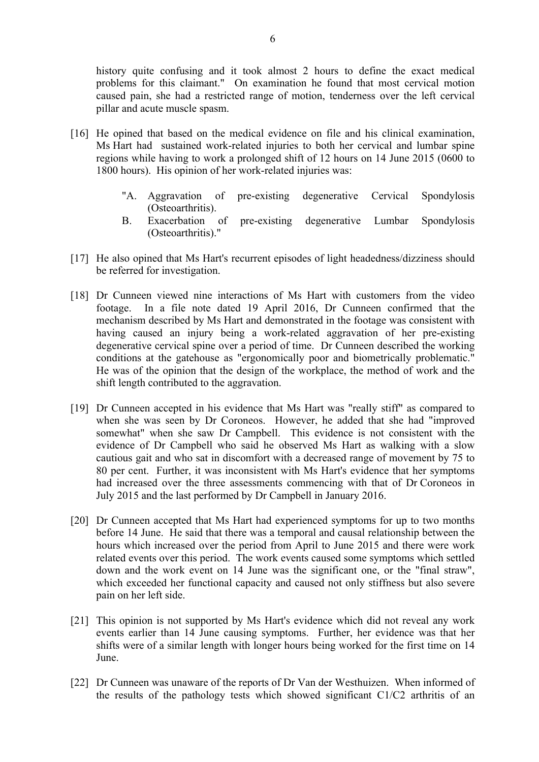history quite confusing and it took almost 2 hours to define the exact medical problems for this claimant." On examination he found that most cervical motion caused pain, she had a restricted range of motion, tenderness over the left cervical pillar and acute muscle spasm.

- [16] He opined that based on the medical evidence on file and his clinical examination, Ms Hart had sustained work-related injuries to both her cervical and lumbar spine regions while having to work a prolonged shift of 12 hours on 14 June 2015 (0600 to 1800 hours). His opinion of her work-related injuries was:
	- "A. Aggravation of pre-existing degenerative Cervical Spondylosis (Osteoarthritis).
	- B. Exacerbation of pre-existing degenerative Lumbar Spondylosis (Osteoarthritis)."
- [17] He also opined that Ms Hart's recurrent episodes of light headedness/dizziness should be referred for investigation.
- [18] Dr Cunneen viewed nine interactions of Ms Hart with customers from the video footage. In a file note dated 19 April 2016, Dr Cunneen confirmed that the mechanism described by Ms Hart and demonstrated in the footage was consistent with having caused an injury being a work-related aggravation of her pre-existing degenerative cervical spine over a period of time. Dr Cunneen described the working conditions at the gatehouse as "ergonomically poor and biometrically problematic." He was of the opinion that the design of the workplace, the method of work and the shift length contributed to the aggravation.
- [19] Dr Cunneen accepted in his evidence that Ms Hart was "really stiff" as compared to when she was seen by Dr Coroneos. However, he added that she had "improved somewhat" when she saw Dr Campbell. This evidence is not consistent with the evidence of Dr Campbell who said he observed Ms Hart as walking with a slow cautious gait and who sat in discomfort with a decreased range of movement by 75 to 80 per cent. Further, it was inconsistent with Ms Hart's evidence that her symptoms had increased over the three assessments commencing with that of Dr Coroneos in July 2015 and the last performed by Dr Campbell in January 2016.
- [20] Dr Cunneen accepted that Ms Hart had experienced symptoms for up to two months before 14 June. He said that there was a temporal and causal relationship between the hours which increased over the period from April to June 2015 and there were work related events over this period. The work events caused some symptoms which settled down and the work event on 14 June was the significant one, or the "final straw", which exceeded her functional capacity and caused not only stiffness but also severe pain on her left side.
- [21] This opinion is not supported by Ms Hart's evidence which did not reveal any work events earlier than 14 June causing symptoms. Further, her evidence was that her shifts were of a similar length with longer hours being worked for the first time on 14 June.
- [22] Dr Cunneen was unaware of the reports of Dr Van der Westhuizen. When informed of the results of the pathology tests which showed significant C1/C2 arthritis of an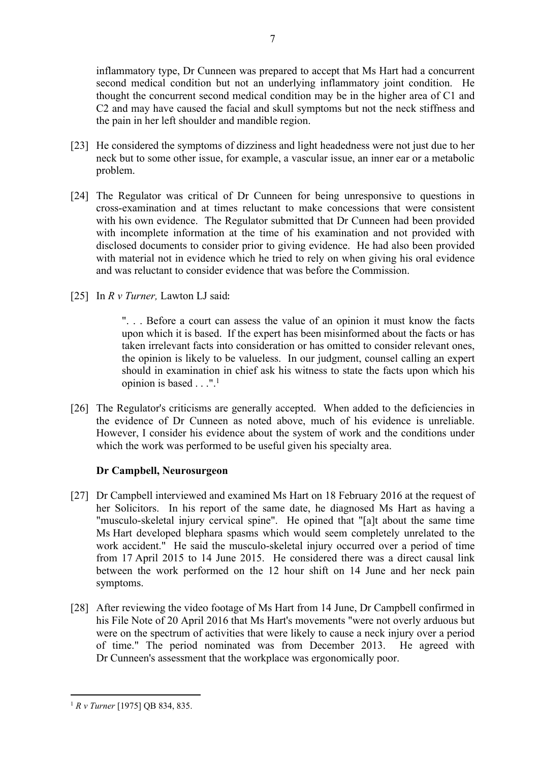inflammatory type, Dr Cunneen was prepared to accept that Ms Hart had a concurrent second medical condition but not an underlying inflammatory joint condition. He thought the concurrent second medical condition may be in the higher area of C1 and C2 and may have caused the facial and skull symptoms but not the neck stiffness and the pain in her left shoulder and mandible region.

- [23] He considered the symptoms of dizziness and light headedness were not just due to her neck but to some other issue, for example, a vascular issue, an inner ear or a metabolic problem.
- [24] The Regulator was critical of Dr Cunneen for being unresponsive to questions in cross-examination and at times reluctant to make concessions that were consistent with his own evidence. The Regulator submitted that Dr Cunneen had been provided with incomplete information at the time of his examination and not provided with disclosed documents to consider prior to giving evidence. He had also been provided with material not in evidence which he tried to rely on when giving his oral evidence and was reluctant to consider evidence that was before the Commission.
- [25] In *R v Turner*, Lawton LJ said:

". . . Before a court can assess the value of an opinion it must know the facts upon which it is based. If the expert has been misinformed about the facts or has taken irrelevant facts into consideration or has omitted to consider relevant ones, the opinion is likely to be valueless. In our judgment, counsel calling an expert should in examination in chief ask his witness to state the facts upon which his opinion is based . . .".<sup>1</sup>

[26] The Regulator's criticisms are generally accepted. When added to the deficiencies in the evidence of Dr Cunneen as noted above, much of his evidence is unreliable. However, I consider his evidence about the system of work and the conditions under which the work was performed to be useful given his specialty area.

## **Dr Campbell, Neurosurgeon**

- [27] Dr Campbell interviewed and examined Ms Hart on 18 February 2016 at the request of her Solicitors. In his report of the same date, he diagnosed Ms Hart as having a "musculo-skeletal injury cervical spine". He opined that "[a]t about the same time Ms Hart developed blephara spasms which would seem completely unrelated to the work accident." He said the musculo-skeletal injury occurred over a period of time from 17 April 2015 to 14 June 2015. He considered there was a direct causal link between the work performed on the 12 hour shift on 14 June and her neck pain symptoms.
- [28] After reviewing the video footage of Ms Hart from 14 June, Dr Campbell confirmed in his File Note of 20 April 2016 that Ms Hart's movements "were not overly arduous but were on the spectrum of activities that were likely to cause a neck injury over a period of time." The period nominated was from December 2013. He agreed with Dr Cunneen's assessment that the workplace was ergonomically poor.

<sup>1</sup> *R v Turner* [1975] QB 834, 835.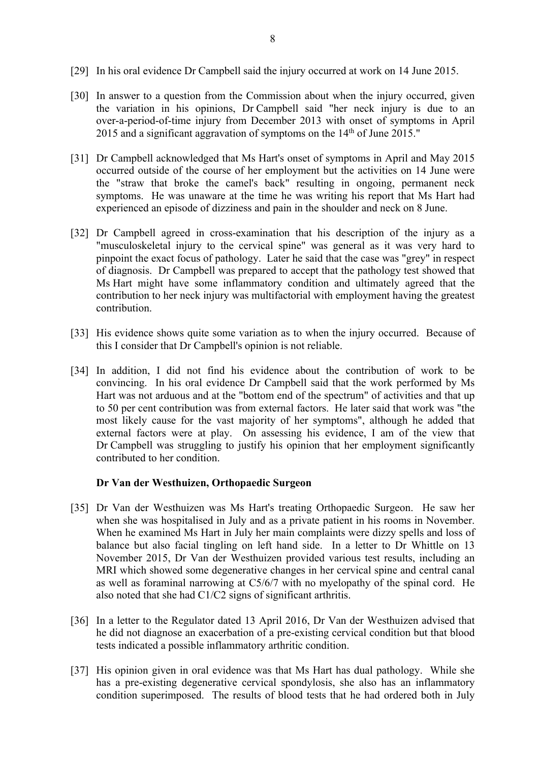- [29] In his oral evidence Dr Campbell said the injury occurred at work on 14 June 2015.
- [30] In answer to a question from the Commission about when the injury occurred, given the variation in his opinions, Dr Campbell said "her neck injury is due to an over-a-period-of-time injury from December 2013 with onset of symptoms in April 2015 and a significant aggravation of symptoms on the 14<sup>th</sup> of June 2015."
- [31] Dr Campbell acknowledged that Ms Hart's onset of symptoms in April and May 2015 occurred outside of the course of her employment but the activities on 14 June were the "straw that broke the camel's back" resulting in ongoing, permanent neck symptoms. He was unaware at the time he was writing his report that Ms Hart had experienced an episode of dizziness and pain in the shoulder and neck on 8 June.
- [32] Dr Campbell agreed in cross-examination that his description of the injury as a "musculoskeletal injury to the cervical spine" was general as it was very hard to pinpoint the exact focus of pathology. Later he said that the case was "grey" in respect of diagnosis. Dr Campbell was prepared to accept that the pathology test showed that Ms Hart might have some inflammatory condition and ultimately agreed that the contribution to her neck injury was multifactorial with employment having the greatest contribution.
- [33] His evidence shows quite some variation as to when the injury occurred. Because of this I consider that Dr Campbell's opinion is not reliable.
- [34] In addition, I did not find his evidence about the contribution of work to be convincing. In his oral evidence Dr Campbell said that the work performed by Ms Hart was not arduous and at the "bottom end of the spectrum" of activities and that up to 50 per cent contribution was from external factors. He later said that work was "the most likely cause for the vast majority of her symptoms", although he added that external factors were at play. On assessing his evidence, I am of the view that Dr Campbell was struggling to justify his opinion that her employment significantly contributed to her condition.

## **Dr Van der Westhuizen, Orthopaedic Surgeon**

- [35] Dr Van der Westhuizen was Ms Hart's treating Orthopaedic Surgeon. He saw her when she was hospitalised in July and as a private patient in his rooms in November. When he examined Ms Hart in July her main complaints were dizzy spells and loss of balance but also facial tingling on left hand side. In a letter to Dr Whittle on 13 November 2015, Dr Van der Westhuizen provided various test results, including an MRI which showed some degenerative changes in her cervical spine and central canal as well as foraminal narrowing at C5/6/7 with no myelopathy of the spinal cord. He also noted that she had C1/C2 signs of significant arthritis.
- [36] In a letter to the Regulator dated 13 April 2016, Dr Van der Westhuizen advised that he did not diagnose an exacerbation of a pre-existing cervical condition but that blood tests indicated a possible inflammatory arthritic condition.
- [37] His opinion given in oral evidence was that Ms Hart has dual pathology. While she has a pre-existing degenerative cervical spondylosis, she also has an inflammatory condition superimposed. The results of blood tests that he had ordered both in July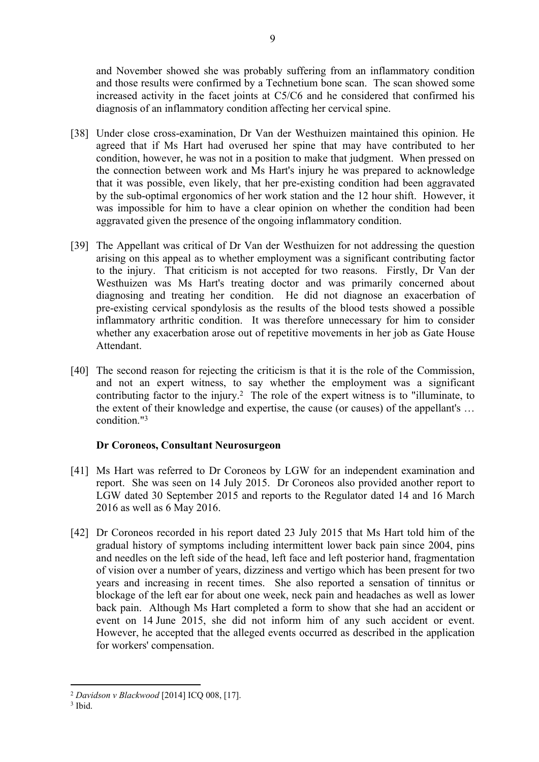and November showed she was probably suffering from an inflammatory condition and those results were confirmed by a Technetium bone scan. The scan showed some increased activity in the facet joints at C5/C6 and he considered that confirmed his diagnosis of an inflammatory condition affecting her cervical spine.

- [38] Under close cross-examination, Dr Van der Westhuizen maintained this opinion. He agreed that if Ms Hart had overused her spine that may have contributed to her condition, however, he was not in a position to make that judgment. When pressed on the connection between work and Ms Hart's injury he was prepared to acknowledge that it was possible, even likely, that her pre-existing condition had been aggravated by the sub-optimal ergonomics of her work station and the 12 hour shift. However, it was impossible for him to have a clear opinion on whether the condition had been aggravated given the presence of the ongoing inflammatory condition.
- [39] The Appellant was critical of Dr Van der Westhuizen for not addressing the question arising on this appeal as to whether employment was a significant contributing factor to the injury. That criticism is not accepted for two reasons. Firstly, Dr Van der Westhuizen was Ms Hart's treating doctor and was primarily concerned about diagnosing and treating her condition. He did not diagnose an exacerbation of pre-existing cervical spondylosis as the results of the blood tests showed a possible inflammatory arthritic condition. It was therefore unnecessary for him to consider whether any exacerbation arose out of repetitive movements in her job as Gate House Attendant.
- [40] The second reason for rejecting the criticism is that it is the role of the Commission, and not an expert witness, to say whether the employment was a significant contributing factor to the injury.<sup>2</sup> The role of the expert witness is to "illuminate, to the extent of their knowledge and expertise, the cause (or causes) of the appellant's … condition."<sup>3</sup>

## **Dr Coroneos, Consultant Neurosurgeon**

- [41] Ms Hart was referred to Dr Coroneos by LGW for an independent examination and report. She was seen on 14 July 2015. Dr Coroneos also provided another report to LGW dated 30 September 2015 and reports to the Regulator dated 14 and 16 March 2016 as well as 6 May 2016.
- [42] Dr Coroneos recorded in his report dated 23 July 2015 that Ms Hart told him of the gradual history of symptoms including intermittent lower back pain since 2004, pins and needles on the left side of the head, left face and left posterior hand, fragmentation of vision over a number of years, dizziness and vertigo which has been present for two years and increasing in recent times. She also reported a sensation of tinnitus or blockage of the left ear for about one week, neck pain and headaches as well as lower back pain. Although Ms Hart completed a form to show that she had an accident or event on 14 June 2015, she did not inform him of any such accident or event. However, he accepted that the alleged events occurred as described in the application for workers' compensation.

<sup>2</sup> *Davidson v Blackwood* [2014] ICQ 008, [17].

<sup>3</sup> Ibid.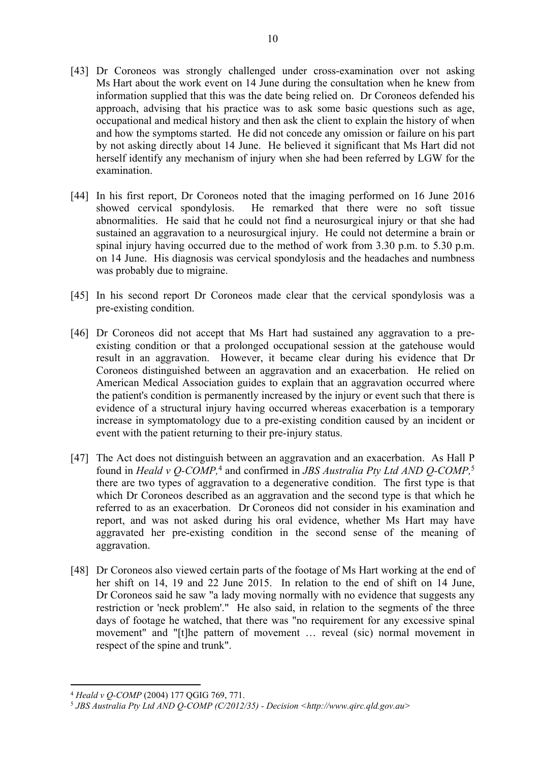- [43] Dr Coroneos was strongly challenged under cross-examination over not asking Ms Hart about the work event on 14 June during the consultation when he knew from information supplied that this was the date being relied on. Dr Coroneos defended his approach, advising that his practice was to ask some basic questions such as age, occupational and medical history and then ask the client to explain the history of when and how the symptoms started. He did not concede any omission or failure on his part by not asking directly about 14 June. He believed it significant that Ms Hart did not herself identify any mechanism of injury when she had been referred by LGW for the examination.
- [44] In his first report, Dr Coroneos noted that the imaging performed on 16 June 2016 showed cervical spondylosis. He remarked that there were no soft tissue abnormalities. He said that he could not find a neurosurgical injury or that she had sustained an aggravation to a neurosurgical injury. He could not determine a brain or spinal injury having occurred due to the method of work from 3.30 p.m. to 5.30 p.m. on 14 June. His diagnosis was cervical spondylosis and the headaches and numbness was probably due to migraine.
- [45] In his second report Dr Coroneos made clear that the cervical spondylosis was a pre-existing condition.
- [46] Dr Coroneos did not accept that Ms Hart had sustained any aggravation to a preexisting condition or that a prolonged occupational session at the gatehouse would result in an aggravation. However, it became clear during his evidence that Dr Coroneos distinguished between an aggravation and an exacerbation. He relied on American Medical Association guides to explain that an aggravation occurred where the patient's condition is permanently increased by the injury or event such that there is evidence of a structural injury having occurred whereas exacerbation is a temporary increase in symptomatology due to a pre-existing condition caused by an incident or event with the patient returning to their pre-injury status.
- [47] The Act does not distinguish between an aggravation and an exacerbation. As Hall P found in *Heald v Q-COMP,*<sup>4</sup> and confirmed in *JBS Australia Pty Ltd AND Q-COMP,*<sup>5</sup> there are two types of aggravation to a degenerative condition. The first type is that which Dr Coroneos described as an aggravation and the second type is that which he referred to as an exacerbation. Dr Coroneos did not consider in his examination and report, and was not asked during his oral evidence, whether Ms Hart may have aggravated her pre-existing condition in the second sense of the meaning of aggravation.
- [48] Dr Coroneos also viewed certain parts of the footage of Ms Hart working at the end of her shift on 14, 19 and 22 June 2015. In relation to the end of shift on 14 June, Dr Coroneos said he saw "a lady moving normally with no evidence that suggests any restriction or 'neck problem'." He also said, in relation to the segments of the three days of footage he watched, that there was "no requirement for any excessive spinal movement" and "[t]he pattern of movement … reveal (sic) normal movement in respect of the spine and trunk".

<sup>4</sup> *Heald v Q-COMP* (2004) 177 QGIG 769, 771.

<sup>5</sup> *JBS Australia Pty Ltd AND Q-COMP (C/2012/35) - Decision <http://www.qirc.qld.gov.au>*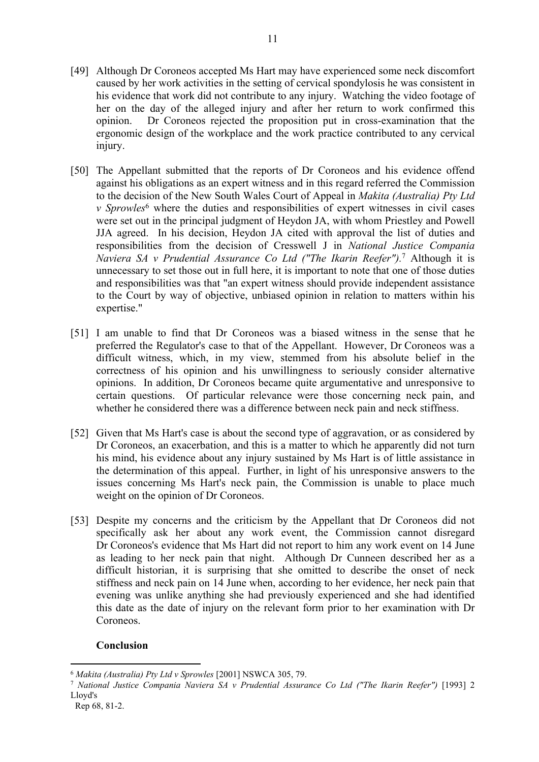- [49] Although Dr Coroneos accepted Ms Hart may have experienced some neck discomfort caused by her work activities in the setting of cervical spondylosis he was consistent in his evidence that work did not contribute to any injury. Watching the video footage of her on the day of the alleged injury and after her return to work confirmed this opinion. Dr Coroneos rejected the proposition put in cross-examination that the ergonomic design of the workplace and the work practice contributed to any cervical injury.
- [50] The Appellant submitted that the reports of Dr Coroneos and his evidence offend against his obligations as an expert witness and in this regard referred the Commission to the decision of the New South Wales Court of Appeal in *Makita (Australia) Pty Ltd v* Sprowles<sup>6</sup> where the duties and responsibilities of expert witnesses in civil cases were set out in the principal judgment of Heydon JA, with whom Priestley and Powell JJA agreed. In his decision, Heydon JA cited with approval the list of duties and responsibilities from the decision of Cresswell J in *National Justice Compania Naviera SA v Prudential Assurance Co Ltd ("The Ikarin Reefer").*<sup>7</sup> Although it is unnecessary to set those out in full here, it is important to note that one of those duties and responsibilities was that "an expert witness should provide independent assistance to the Court by way of objective, unbiased opinion in relation to matters within his expertise."
- [51] I am unable to find that Dr Coroneos was a biased witness in the sense that he preferred the Regulator's case to that of the Appellant. However, Dr Coroneos was a difficult witness, which, in my view, stemmed from his absolute belief in the correctness of his opinion and his unwillingness to seriously consider alternative opinions. In addition, Dr Coroneos became quite argumentative and unresponsive to certain questions. Of particular relevance were those concerning neck pain, and whether he considered there was a difference between neck pain and neck stiffness.
- [52] Given that Ms Hart's case is about the second type of aggravation, or as considered by Dr Coroneos, an exacerbation, and this is a matter to which he apparently did not turn his mind, his evidence about any injury sustained by Ms Hart is of little assistance in the determination of this appeal. Further, in light of his unresponsive answers to the issues concerning Ms Hart's neck pain, the Commission is unable to place much weight on the opinion of Dr Coroneos.
- [53] Despite my concerns and the criticism by the Appellant that Dr Coroneos did not specifically ask her about any work event, the Commission cannot disregard Dr Coroneos's evidence that Ms Hart did not report to him any work event on 14 June as leading to her neck pain that night. Although Dr Cunneen described her as a difficult historian, it is surprising that she omitted to describe the onset of neck stiffness and neck pain on 14 June when, according to her evidence, her neck pain that evening was unlike anything she had previously experienced and she had identified this date as the date of injury on the relevant form prior to her examination with Dr Coroneos.

## **Conclusion**

<sup>6</sup> *Makita (Australia) Pty Ltd v Sprowles* [2001] NSWCA 305, 79.

<sup>7</sup> *National Justice Compania Naviera SA v Prudential Assurance Co Ltd ("The Ikarin Reefer")* [1993] 2 Lloyd's

Rep 68, 81-2.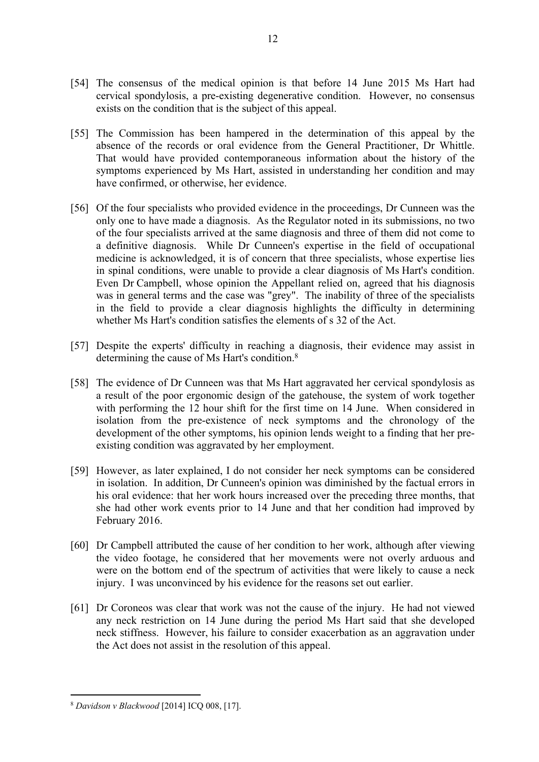- [54] The consensus of the medical opinion is that before 14 June 2015 Ms Hart had cervical spondylosis, a pre-existing degenerative condition. However, no consensus exists on the condition that is the subject of this appeal.
- [55] The Commission has been hampered in the determination of this appeal by the absence of the records or oral evidence from the General Practitioner, Dr Whittle. That would have provided contemporaneous information about the history of the symptoms experienced by Ms Hart, assisted in understanding her condition and may have confirmed, or otherwise, her evidence.
- [56] Of the four specialists who provided evidence in the proceedings, Dr Cunneen was the only one to have made a diagnosis. As the Regulator noted in its submissions, no two of the four specialists arrived at the same diagnosis and three of them did not come to a definitive diagnosis. While Dr Cunneen's expertise in the field of occupational medicine is acknowledged, it is of concern that three specialists, whose expertise lies in spinal conditions, were unable to provide a clear diagnosis of Ms Hart's condition. Even Dr Campbell, whose opinion the Appellant relied on, agreed that his diagnosis was in general terms and the case was "grey". The inability of three of the specialists in the field to provide a clear diagnosis highlights the difficulty in determining whether Ms Hart's condition satisfies the elements of s 32 of the Act.
- [57] Despite the experts' difficulty in reaching a diagnosis, their evidence may assist in determining the cause of Ms Hart's condition.<sup>8</sup>
- [58] The evidence of Dr Cunneen was that Ms Hart aggravated her cervical spondylosis as a result of the poor ergonomic design of the gatehouse, the system of work together with performing the 12 hour shift for the first time on 14 June. When considered in isolation from the pre-existence of neck symptoms and the chronology of the development of the other symptoms, his opinion lends weight to a finding that her preexisting condition was aggravated by her employment.
- [59] However, as later explained, I do not consider her neck symptoms can be considered in isolation. In addition, Dr Cunneen's opinion was diminished by the factual errors in his oral evidence: that her work hours increased over the preceding three months, that she had other work events prior to 14 June and that her condition had improved by February 2016.
- [60] Dr Campbell attributed the cause of her condition to her work, although after viewing the video footage, he considered that her movements were not overly arduous and were on the bottom end of the spectrum of activities that were likely to cause a neck injury. I was unconvinced by his evidence for the reasons set out earlier.
- [61] Dr Coroneos was clear that work was not the cause of the injury. He had not viewed any neck restriction on 14 June during the period Ms Hart said that she developed neck stiffness. However, his failure to consider exacerbation as an aggravation under the Act does not assist in the resolution of this appeal.

<sup>8</sup> *Davidson v Blackwood* [2014] ICQ 008, [17].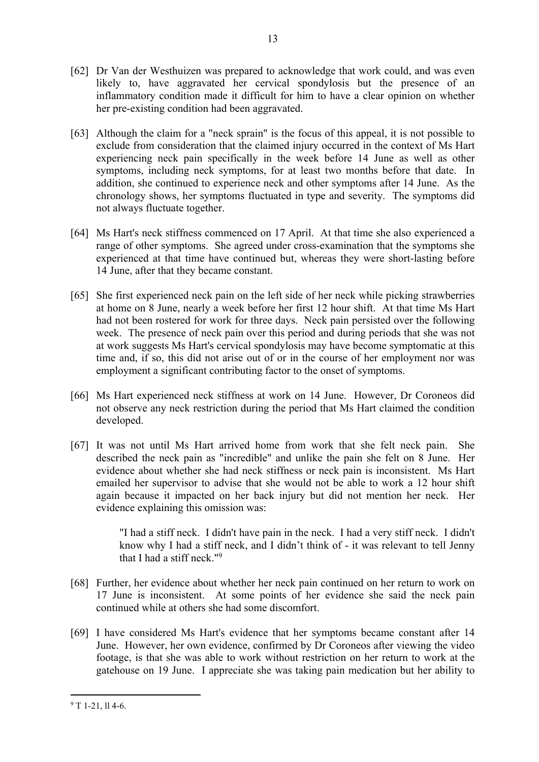[62] Dr Van der Westhuizen was prepared to acknowledge that work could, and was even likely to, have aggravated her cervical spondylosis but the presence of an inflammatory condition made it difficult for him to have a clear opinion on whether her pre-existing condition had been aggravated.

13

- [63] Although the claim for a "neck sprain" is the focus of this appeal, it is not possible to exclude from consideration that the claimed injury occurred in the context of Ms Hart experiencing neck pain specifically in the week before 14 June as well as other symptoms, including neck symptoms, for at least two months before that date. In addition, she continued to experience neck and other symptoms after 14 June. As the chronology shows, her symptoms fluctuated in type and severity. The symptoms did not always fluctuate together.
- [64] Ms Hart's neck stiffness commenced on 17 April. At that time she also experienced a range of other symptoms. She agreed under cross-examination that the symptoms she experienced at that time have continued but, whereas they were short-lasting before 14 June, after that they became constant.
- [65] She first experienced neck pain on the left side of her neck while picking strawberries at home on 8 June, nearly a week before her first 12 hour shift. At that time Ms Hart had not been rostered for work for three days. Neck pain persisted over the following week. The presence of neck pain over this period and during periods that she was not at work suggests Ms Hart's cervical spondylosis may have become symptomatic at this time and, if so, this did not arise out of or in the course of her employment nor was employment a significant contributing factor to the onset of symptoms.
- [66] Ms Hart experienced neck stiffness at work on 14 June. However, Dr Coroneos did not observe any neck restriction during the period that Ms Hart claimed the condition developed.
- [67] It was not until Ms Hart arrived home from work that she felt neck pain. She described the neck pain as "incredible" and unlike the pain she felt on 8 June. Her evidence about whether she had neck stiffness or neck pain is inconsistent. Ms Hart emailed her supervisor to advise that she would not be able to work a 12 hour shift again because it impacted on her back injury but did not mention her neck. Her evidence explaining this omission was:

"I had a stiff neck. I didn't have pain in the neck. I had a very stiff neck. I didn't know why I had a stiff neck, and I didn't think of - it was relevant to tell Jenny that I had a stiff neck."<sup>9</sup>

- [68] Further, her evidence about whether her neck pain continued on her return to work on 17 June is inconsistent. At some points of her evidence she said the neck pain continued while at others she had some discomfort.
- [69] I have considered Ms Hart's evidence that her symptoms became constant after 14 June. However, her own evidence, confirmed by Dr Coroneos after viewing the video footage, is that she was able to work without restriction on her return to work at the gatehouse on 19 June. I appreciate she was taking pain medication but her ability to

 $9$  T 1-21, ll 4-6.